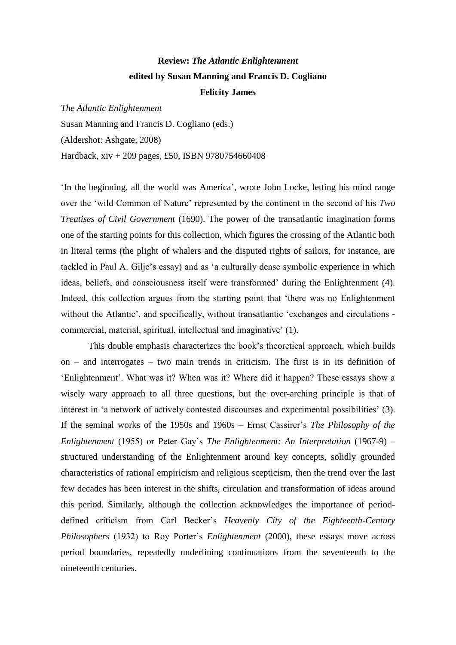# **Review:** *The Atlantic Enlightenment* **edited by Susan Manning and Francis D. Cogliano Felicity James**

*The Atlantic Enlightenment*

Susan Manning and Francis D. Cogliano (eds.)

(Aldershot: Ashgate, 2008)

Hardback, xiv + 209 pages, £50, ISBN 9780754660408

'In the beginning, all the world was America', wrote John Locke, letting his mind range over the 'wild Common of Nature' represented by the continent in the second of his *Two Treatises of Civil Government* (1690). The power of the transatlantic imagination forms one of the starting points for this collection, which figures the crossing of the Atlantic both in literal terms (the plight of whalers and the disputed rights of sailors, for instance, are tackled in Paul A. Gilje's essay) and as 'a culturally dense symbolic experience in which ideas, beliefs, and consciousness itself were transformed' during the Enlightenment (4). Indeed, this collection argues from the starting point that 'there was no Enlightenment without the Atlantic', and specifically, without transatlantic 'exchanges and circulations commercial, material, spiritual, intellectual and imaginative' (1).

This double emphasis characterizes the book's theoretical approach, which builds on – and interrogates – two main trends in criticism. The first is in its definition of 'Enlightenment'. What was it? When was it? Where did it happen? These essays show a wisely wary approach to all three questions, but the over-arching principle is that of interest in 'a network of actively contested discourses and experimental possibilities' (3). If the seminal works of the 1950s and 1960s – Ernst Cassirer's *The Philosophy of the Enlightenment* (1955) or Peter Gay's *The Enlightenment: An Interpretation* (1967-9) – structured understanding of the Enlightenment around key concepts, solidly grounded characteristics of rational empiricism and religious scepticism, then the trend over the last few decades has been interest in the shifts, circulation and transformation of ideas around this period. Similarly, although the collection acknowledges the importance of perioddefined criticism from Carl Becker's *Heavenly City of the Eighteenth-Century Philosophers* (1932) to Roy Porter's *Enlightenment* (2000), these essays move across period boundaries, repeatedly underlining continuations from the seventeenth to the nineteenth centuries.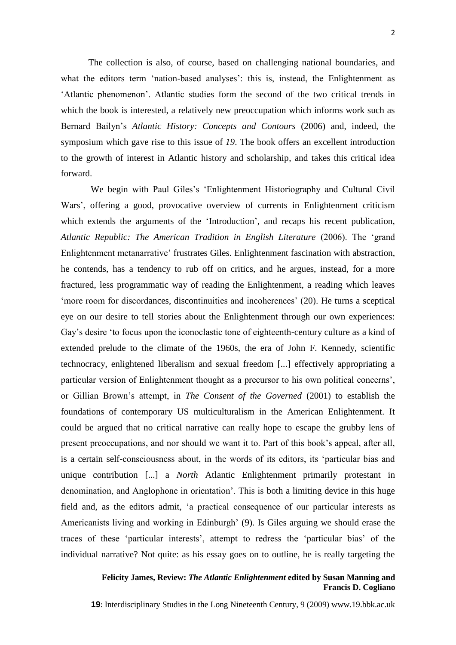The collection is also, of course, based on challenging national boundaries, and what the editors term 'nation-based analyses': this is, instead, the Enlightenment as 'Atlantic phenomenon'. Atlantic studies form the second of the two critical trends in which the book is interested, a relatively new preoccupation which informs work such as Bernard Bailyn's *Atlantic History: Concepts and Contours* (2006) and, indeed, the symposium which gave rise to this issue of *19*. The book offers an excellent introduction to the growth of interest in Atlantic history and scholarship, and takes this critical idea forward.

We begin with Paul Giles's 'Enlightenment Historiography and Cultural Civil Wars', offering a good, provocative overview of currents in Enlightenment criticism which extends the arguments of the 'Introduction', and recaps his recent publication, *Atlantic Republic: The American Tradition in English Literature* (2006). The 'grand Enlightenment metanarrative' frustrates Giles. Enlightenment fascination with abstraction, he contends, has a tendency to rub off on critics, and he argues, instead, for a more fractured, less programmatic way of reading the Enlightenment, a reading which leaves 'more room for discordances, discontinuities and incoherences' (20). He turns a sceptical eye on our desire to tell stories about the Enlightenment through our own experiences: Gay's desire 'to focus upon the iconoclastic tone of eighteenth-century culture as a kind of extended prelude to the climate of the 1960s, the era of John F. Kennedy, scientific technocracy, enlightened liberalism and sexual freedom [...] effectively appropriating a particular version of Enlightenment thought as a precursor to his own political concerns', or Gillian Brown's attempt, in *The Consent of the Governed* (2001) to establish the foundations of contemporary US multiculturalism in the American Enlightenment. It could be argued that no critical narrative can really hope to escape the grubby lens of present preoccupations, and nor should we want it to. Part of this book's appeal, after all, is a certain self-consciousness about, in the words of its editors, its 'particular bias and unique contribution [...] a *North* Atlantic Enlightenment primarily protestant in denomination, and Anglophone in orientation'. This is both a limiting device in this huge field and, as the editors admit, 'a practical consequence of our particular interests as Americanists living and working in Edinburgh' (9). Is Giles arguing we should erase the traces of these 'particular interests', attempt to redress the 'particular bias' of the individual narrative? Not quite: as his essay goes on to outline, he is really targeting the

### **Felicity James, Review:** *The Atlantic Enlightenment* **edited by Susan Manning and Francis D. Cogliano**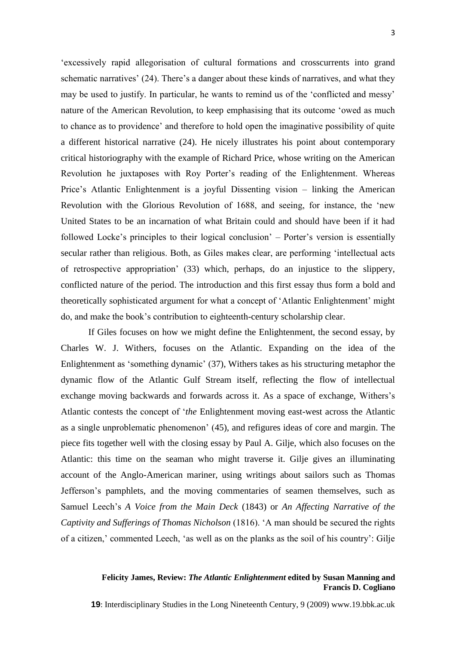'excessively rapid allegorisation of cultural formations and crosscurrents into grand schematic narratives' (24). There's a danger about these kinds of narratives, and what they may be used to justify. In particular, he wants to remind us of the 'conflicted and messy' nature of the American Revolution, to keep emphasising that its outcome 'owed as much to chance as to providence' and therefore to hold open the imaginative possibility of quite a different historical narrative (24). He nicely illustrates his point about contemporary critical historiography with the example of Richard Price, whose writing on the American Revolution he juxtaposes with Roy Porter's reading of the Enlightenment. Whereas Price's Atlantic Enlightenment is a joyful Dissenting vision – linking the American Revolution with the Glorious Revolution of 1688, and seeing, for instance, the 'new United States to be an incarnation of what Britain could and should have been if it had followed Locke's principles to their logical conclusion' – Porter's version is essentially secular rather than religious. Both, as Giles makes clear, are performing 'intellectual acts of retrospective appropriation' (33) which, perhaps, do an injustice to the slippery, conflicted nature of the period. The introduction and this first essay thus form a bold and theoretically sophisticated argument for what a concept of 'Atlantic Enlightenment' might do, and make the book's contribution to eighteenth-century scholarship clear.

If Giles focuses on how we might define the Enlightenment, the second essay, by Charles W. J. Withers, focuses on the Atlantic. Expanding on the idea of the Enlightenment as 'something dynamic' (37), Withers takes as his structuring metaphor the dynamic flow of the Atlantic Gulf Stream itself, reflecting the flow of intellectual exchange moving backwards and forwards across it. As a space of exchange, Withers's Atlantic contests the concept of '*the* Enlightenment moving east-west across the Atlantic as a single unproblematic phenomenon' (45), and refigures ideas of core and margin. The piece fits together well with the closing essay by Paul A. Gilje, which also focuses on the Atlantic: this time on the seaman who might traverse it. Gilje gives an illuminating account of the Anglo-American mariner, using writings about sailors such as Thomas Jefferson's pamphlets, and the moving commentaries of seamen themselves, such as Samuel Leech's *A Voice from the Main Deck* (1843) or *An Affecting Narrative of the Captivity and Sufferings of Thomas Nicholson* (1816). 'A man should be secured the rights of a citizen,' commented Leech, 'as well as on the planks as the soil of his country': Gilje

## **Felicity James, Review:** *The Atlantic Enlightenment* **edited by Susan Manning and Francis D. Cogliano**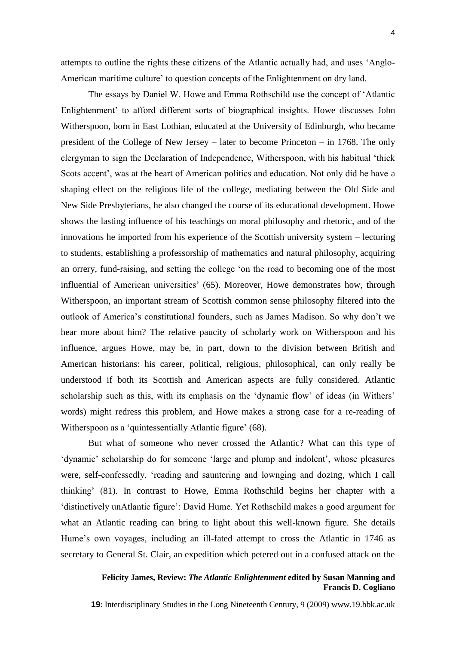attempts to outline the rights these citizens of the Atlantic actually had, and uses 'Anglo-American maritime culture' to question concepts of the Enlightenment on dry land.

The essays by Daniel W. Howe and Emma Rothschild use the concept of 'Atlantic Enlightenment' to afford different sorts of biographical insights. Howe discusses John Witherspoon, born in East Lothian, educated at the University of Edinburgh, who became president of the College of New Jersey – later to become Princeton – in 1768. The only clergyman to sign the Declaration of Independence, Witherspoon, with his habitual 'thick Scots accent', was at the heart of American politics and education. Not only did he have a shaping effect on the religious life of the college, mediating between the Old Side and New Side Presbyterians, he also changed the course of its educational development. Howe shows the lasting influence of his teachings on moral philosophy and rhetoric, and of the innovations he imported from his experience of the Scottish university system – lecturing to students, establishing a professorship of mathematics and natural philosophy, acquiring an orrery, fund-raising, and setting the college 'on the road to becoming one of the most influential of American universities' (65). Moreover, Howe demonstrates how, through Witherspoon, an important stream of Scottish common sense philosophy filtered into the outlook of America's constitutional founders, such as James Madison. So why don't we hear more about him? The relative paucity of scholarly work on Witherspoon and his influence, argues Howe, may be, in part, down to the division between British and American historians: his career, political, religious, philosophical, can only really be understood if both its Scottish and American aspects are fully considered. Atlantic scholarship such as this, with its emphasis on the 'dynamic flow' of ideas (in Withers' words) might redress this problem, and Howe makes a strong case for a re-reading of Witherspoon as a 'quintessentially Atlantic figure' (68).

But what of someone who never crossed the Atlantic? What can this type of 'dynamic' scholarship do for someone 'large and plump and indolent', whose pleasures were, self-confessedly, 'reading and sauntering and lownging and dozing, which I call thinking' (81). In contrast to Howe, Emma Rothschild begins her chapter with a 'distinctively unAtlantic figure': David Hume. Yet Rothschild makes a good argument for what an Atlantic reading can bring to light about this well-known figure. She details Hume's own voyages, including an ill-fated attempt to cross the Atlantic in 1746 as secretary to General St. Clair, an expedition which petered out in a confused attack on the

## **Felicity James, Review:** *The Atlantic Enlightenment* **edited by Susan Manning and Francis D. Cogliano**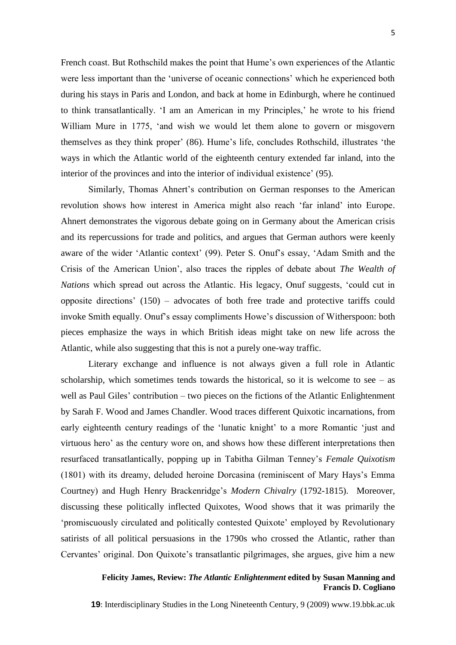French coast. But Rothschild makes the point that Hume's own experiences of the Atlantic were less important than the 'universe of oceanic connections' which he experienced both during his stays in Paris and London, and back at home in Edinburgh, where he continued to think transatlantically. 'I am an American in my Principles,' he wrote to his friend William Mure in 1775, 'and wish we would let them alone to govern or misgovern themselves as they think proper' (86). Hume's life, concludes Rothschild, illustrates 'the ways in which the Atlantic world of the eighteenth century extended far inland, into the interior of the provinces and into the interior of individual existence' (95).

Similarly, Thomas Ahnert's contribution on German responses to the American revolution shows how interest in America might also reach 'far inland' into Europe. Ahnert demonstrates the vigorous debate going on in Germany about the American crisis and its repercussions for trade and politics, and argues that German authors were keenly aware of the wider 'Atlantic context' (99). Peter S. Onuf's essay, 'Adam Smith and the Crisis of the American Union', also traces the ripples of debate about *The Wealth of Nations* which spread out across the Atlantic. His legacy, Onuf suggests, 'could cut in opposite directions' (150) – advocates of both free trade and protective tariffs could invoke Smith equally. Onuf's essay compliments Howe's discussion of Witherspoon: both pieces emphasize the ways in which British ideas might take on new life across the Atlantic, while also suggesting that this is not a purely one-way traffic.

Literary exchange and influence is not always given a full role in Atlantic scholarship, which sometimes tends towards the historical, so it is welcome to see  $-$  as well as Paul Giles' contribution – two pieces on the fictions of the Atlantic Enlightenment by Sarah F. Wood and James Chandler. Wood traces different Quixotic incarnations, from early eighteenth century readings of the 'lunatic knight' to a more Romantic 'just and virtuous hero' as the century wore on, and shows how these different interpretations then resurfaced transatlantically, popping up in Tabitha Gilman Tenney's *Female Quixotism* (1801) with its dreamy, deluded heroine Dorcasina (reminiscent of Mary Hays's Emma Courtney) and Hugh Henry Brackenridge's *Modern Chivalry* (1792-1815). Moreover, discussing these politically inflected Quixotes, Wood shows that it was primarily the 'promiscuously circulated and politically contested Quixote' employed by Revolutionary satirists of all political persuasions in the 1790s who crossed the Atlantic, rather than Cervantes' original. Don Quixote's transatlantic pilgrimages, she argues, give him a new

## **Felicity James, Review:** *The Atlantic Enlightenment* **edited by Susan Manning and Francis D. Cogliano**